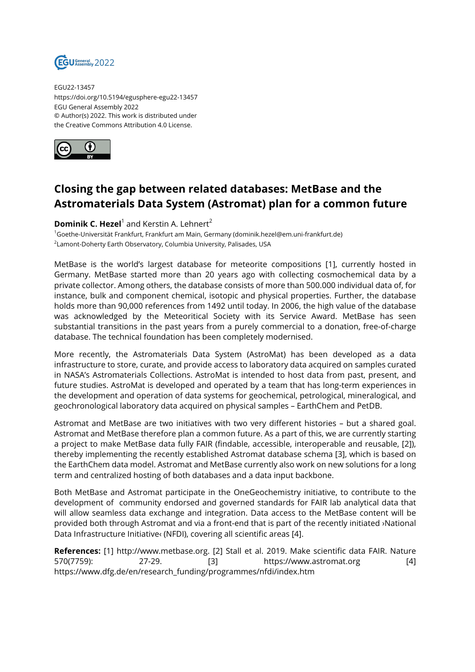

EGU22-13457 https://doi.org/10.5194/egusphere-egu22-13457 EGU General Assembly 2022 © Author(s) 2022. This work is distributed under the Creative Commons Attribution 4.0 License.



## **Closing the gap between related databases: MetBase and the Astromaterials Data System (Astromat) plan for a common future**

## **Dominik C. Hezel**<sup>1</sup> and Kerstin A. Lehnert<sup>2</sup>

<sup>1</sup>Goethe-Universität Frankfurt, Frankfurt am Main, Germany (dominik.hezel@em.uni-frankfurt.de)  $^{\rm 2}$ Lamont-Doherty Earth Observatory, Columbia University, Palisades, USA

MetBase is the world's largest database for meteorite compositions [1], currently hosted in Germany. MetBase started more than 20 years ago with collecting cosmochemical data by a private collector. Among others, the database consists of more than 500.000 individual data of, for instance, bulk and component chemical, isotopic and physical properties. Further, the database holds more than 90,000 references from 1492 until today. In 2006, the high value of the database was acknowledged by the Meteoritical Society with its Service Award. MetBase has seen substantial transitions in the past years from a purely commercial to a donation, free-of-charge database. The technical foundation has been completely modernised.

More recently, the Astromaterials Data System (AstroMat) has been developed as a data infrastructure to store, curate, and provide access to laboratory data acquired on samples curated in NASA's Astromaterials Collections. AstroMat is intended to host data from past, present, and future studies. AstroMat is developed and operated by a team that has long-term experiences in the development and operation of data systems for geochemical, petrological, mineralogical, and geochronological laboratory data acquired on physical samples – EarthChem and PetDB.

Astromat and MetBase are two initiatives with two very different histories – but a shared goal. Astromat and MetBase therefore plan a common future. As a part of this, we are currently starting a project to make MetBase data fully FAIR (findable, accessible, interoperable and reusable, [2]), thereby implementing the recently established Astromat database schema [3], which is based on the EarthChem data model. Astromat and MetBase currently also work on new solutions for a long term and centralized hosting of both databases and a data input backbone.

Both MetBase and Astromat participate in the OneGeochemistry initiative, to contribute to the development of community endorsed and governed standards for FAIR lab analytical data that will allow seamless data exchange and integration. Data access to the MetBase content will be provided both through Astromat and via a front-end that is part of the recently initiated ›National Data Infrastructure Initiative‹ (NFDI), covering all scientific areas [4].

**References:** [1] http://www.metbase.org. [2] Stall et al. 2019. Make scientific data FAIR. Nature 570(7759): 27-29. [3] https://www.astromat.org [4] https://www.dfg.de/en/research\_funding/programmes/nfdi/index.htm